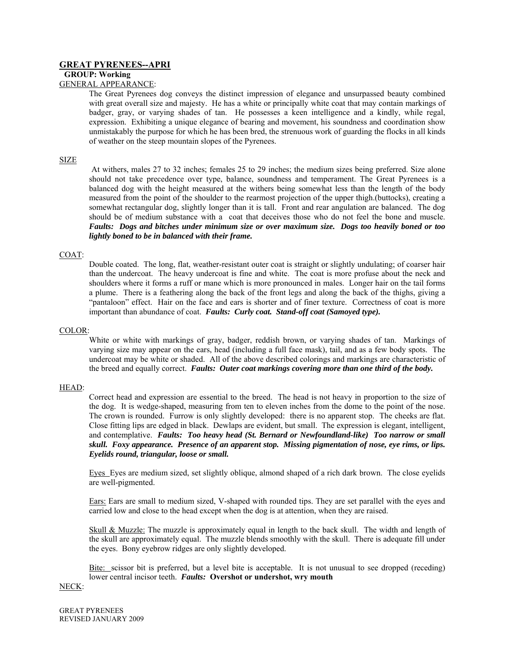# **GREAT PYRENEES--APRI**

## **GROUP: Working**

# GENERAL APPEARANCE:

The Great Pyrenees dog conveys the distinct impression of elegance and unsurpassed beauty combined with great overall size and majesty. He has a white or principally white coat that may contain markings of badger, gray, or varying shades of tan. He possesses a keen intelligence and a kindly, while regal, expression. Exhibiting a unique elegance of bearing and movement, his soundness and coordination show unmistakably the purpose for which he has been bred, the strenuous work of guarding the flocks in all kinds of weather on the steep mountain slopes of the Pyrenees.

### SIZE

At withers, males 27 to 32 inches; females 25 to 29 inches; the medium sizes being preferred. Size alone should not take precedence over type, balance, soundness and temperament. The Great Pyrenees is a balanced dog with the height measured at the withers being somewhat less than the length of the body measured from the point of the shoulder to the rearmost projection of the upper thigh.(buttocks), creating a somewhat rectangular dog, slightly longer than it is tall. Front and rear angulation are balanced. The dog should be of medium substance with a coat that deceives those who do not feel the bone and muscle. *Faults: Dogs and bitches under minimum size or over maximum size. Dogs too heavily boned or too lightly boned to be in balanced with their frame.* 

## COAT:

Double coated. The long, flat, weather-resistant outer coat is straight or slightly undulating; of coarser hair than the undercoat. The heavy undercoat is fine and white. The coat is more profuse about the neck and shoulders where it forms a ruff or mane which is more pronounced in males. Longer hair on the tail forms a plume. There is a feathering along the back of the front legs and along the back of the thighs, giving a "pantaloon" effect. Hair on the face and ears is shorter and of finer texture. Correctness of coat is more important than abundance of coat. *Faults: Curly coat. Stand-off coat (Samoyed type).* 

### COLOR:

White or white with markings of gray, badger, reddish brown, or varying shades of tan. Markings of varying size may appear on the ears, head (including a full face mask), tail, and as a few body spots. The undercoat may be white or shaded. All of the above described colorings and markings are characteristic of the breed and equally correct. *Faults: Outer coat markings covering more than one third of the body.*

# HEAD:

Correct head and expression are essential to the breed. The head is not heavy in proportion to the size of the dog. It is wedge-shaped, measuring from ten to eleven inches from the dome to the point of the nose. The crown is rounded. Furrow is only slightly developed: there is no apparent stop. The cheeks are flat. Close fitting lips are edged in black. Dewlaps are evident, but small. The expression is elegant, intelligent, and contemplative. *Faults: Too heavy head (St. Bernard or Newfoundland-like) Too narrow or small skull. Foxy appearance. Presence of an apparent stop. Missing pigmentation of nose, eye rims, or lips. Eyelids round, triangular, loose or small.* 

Eyes Eyes are medium sized, set slightly oblique, almond shaped of a rich dark brown. The close eyelids are well-pigmented.

Ears: Ears are small to medium sized, V-shaped with rounded tips. They are set parallel with the eyes and carried low and close to the head except when the dog is at attention, when they are raised.

Skull & Muzzle: The muzzle is approximately equal in length to the back skull. The width and length of the skull are approximately equal. The muzzle blends smoothly with the skull. There is adequate fill under the eyes. Bony eyebrow ridges are only slightly developed.

Bite: scissor bit is preferred, but a level bite is acceptable. It is not unusual to see dropped (receding) lower central incisor teeth. *Faults:* **Overshot or undershot, wry mouth** 

# NECK: